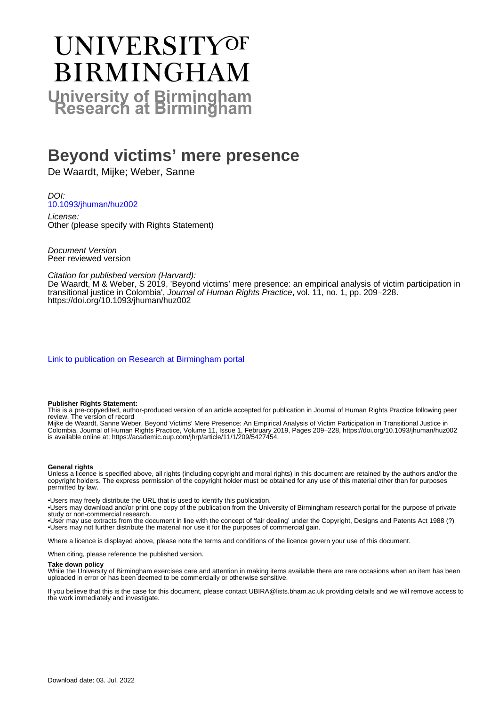# UNIVERSITYOF **BIRMINGHAM University of Birmingham**

# **Beyond victims' mere presence**

De Waardt, Mijke; Weber, Sanne

DOI: [10.1093/jhuman/huz002](https://doi.org/10.1093/jhuman/huz002)

License: Other (please specify with Rights Statement)

Document Version Peer reviewed version

Citation for published version (Harvard):

De Waardt, M & Weber, S 2019, 'Beyond victims' mere presence: an empirical analysis of victim participation in transitional justice in Colombia', Journal of Human Rights Practice, vol. 11, no. 1, pp. 209–228. <https://doi.org/10.1093/jhuman/huz002>

[Link to publication on Research at Birmingham portal](https://birmingham.elsevierpure.com/en/publications/cc6f7dfb-aad2-4155-8382-7d5e0ef5729a)

#### **Publisher Rights Statement:**

This is a pre-copyedited, author-produced version of an article accepted for publication in Journal of Human Rights Practice following peer review. The version of record

Mijke de Waardt, Sanne Weber, Beyond Victims' Mere Presence: An Empirical Analysis of Victim Participation in Transitional Justice in Colombia, Journal of Human Rights Practice, Volume 11, Issue 1, February 2019, Pages 209–228, https://doi.org/10.1093/jhuman/huz002 is available online at: https://academic.oup.com/jhrp/article/11/1/209/5427454.

#### **General rights**

Unless a licence is specified above, all rights (including copyright and moral rights) in this document are retained by the authors and/or the copyright holders. The express permission of the copyright holder must be obtained for any use of this material other than for purposes permitted by law.

• Users may freely distribute the URL that is used to identify this publication.

• Users may download and/or print one copy of the publication from the University of Birmingham research portal for the purpose of private study or non-commercial research.

• User may use extracts from the document in line with the concept of 'fair dealing' under the Copyright, Designs and Patents Act 1988 (?) • Users may not further distribute the material nor use it for the purposes of commercial gain.

Where a licence is displayed above, please note the terms and conditions of the licence govern your use of this document.

When citing, please reference the published version.

#### **Take down policy**

While the University of Birmingham exercises care and attention in making items available there are rare occasions when an item has been uploaded in error or has been deemed to be commercially or otherwise sensitive.

If you believe that this is the case for this document, please contact UBIRA@lists.bham.ac.uk providing details and we will remove access to the work immediately and investigate.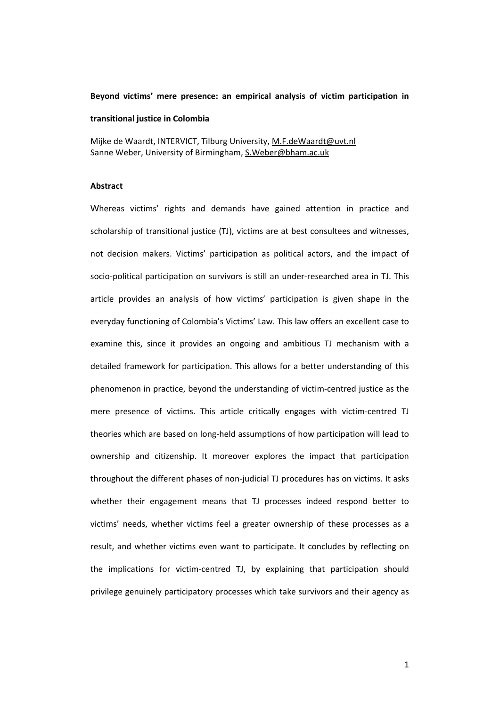#### **Beyond victims' mere presence: an empirical analysis of victim participation in**

#### **transitional justice in Colombia**

Mijke de Waardt, INTERVICT, Tilburg University, M.F.deWaardt@uvt.nl Sanne Weber, University of Birmingham, S.Weber@bham.ac.uk

# **Abstract**

Whereas victims' rights and demands have gained attention in practice and scholarship of transitional justice (TJ), victims are at best consultees and witnesses, not decision makers. Victims' participation as political actors, and the impact of socio-political participation on survivors is still an under-researched area in TJ. This article provides an analysis of how victims' participation is given shape in the everyday functioning of Colombia's Victims' Law. This law offers an excellent case to examine this, since it provides an ongoing and ambitious TJ mechanism with a detailed framework for participation. This allows for a better understanding of this phenomenon in practice, beyond the understanding of victim‐centred justice as the mere presence of victims. This article critically engages with victim‐centred TJ theories which are based on long‐held assumptions of how participation will lead to ownership and citizenship. It moreover explores the impact that participation throughout the different phases of non‐judicial TJ procedures has on victims. It asks whether their engagement means that TJ processes indeed respond better to victims' needs, whether victims feel a greater ownership of these processes as a result, and whether victims even want to participate. It concludes by reflecting on the implications for victim‐centred TJ, by explaining that participation should privilege genuinely participatory processes which take survivors and their agency as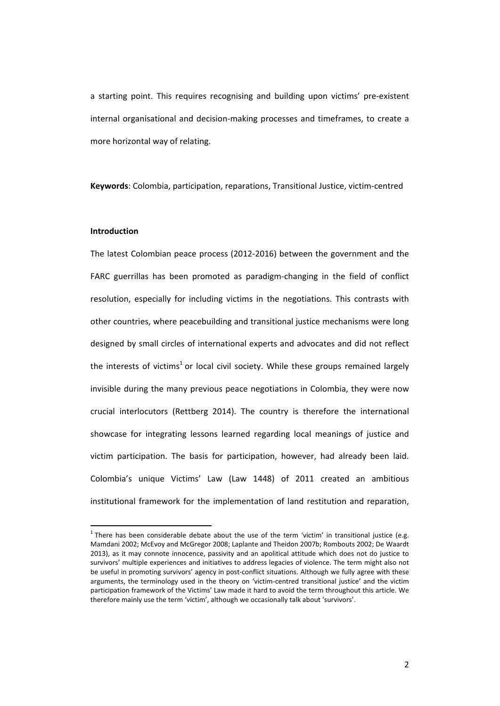a starting point. This requires recognising and building upon victims' pre‐existent internal organisational and decision‐making processes and timeframes, to create a more horizontal way of relating.

**Keywords**: Colombia, participation, reparations, Transitional Justice, victim‐centred

#### **Introduction**

 $\overline{a}$ 

The latest Colombian peace process (2012‐2016) between the government and the FARC guerrillas has been promoted as paradigm-changing in the field of conflict resolution, especially for including victims in the negotiations. This contrasts with other countries, where peacebuilding and transitional justice mechanisms were long designed by small circles of international experts and advocates and did not reflect the interests of victims<sup>1</sup> or local civil society. While these groups remained largely invisible during the many previous peace negotiations in Colombia, they were now crucial interlocutors (Rettberg 2014). The country is therefore the international showcase for integrating lessons learned regarding local meanings of justice and victim participation. The basis for participation, however, had already been laid. Colombia's unique Victims' Law (Law 1448) of 2011 created an ambitious institutional framework for the implementation of land restitution and reparation,

 $1$  There has been considerable debate about the use of the term 'victim' in transitional justice (e.g. Mamdani 2002; McEvoy and McGregor 2008; Laplante and Theidon 2007b; Rombouts 2002; De Waardt 2013), as it may connote innocence, passivity and an apolitical attitude which does not do justice to survivors' multiple experiences and initiatives to address legacies of violence. The term might also not be useful in promoting survivors' agency in post-conflict situations. Although we fully agree with these arguments, the terminology used in the theory on 'victim-centred transitional justice' and the victim participation framework of the Victims' Law made it hard to avoid the term throughout this article. We therefore mainly use the term 'victim', although we occasionally talk about 'survivors'.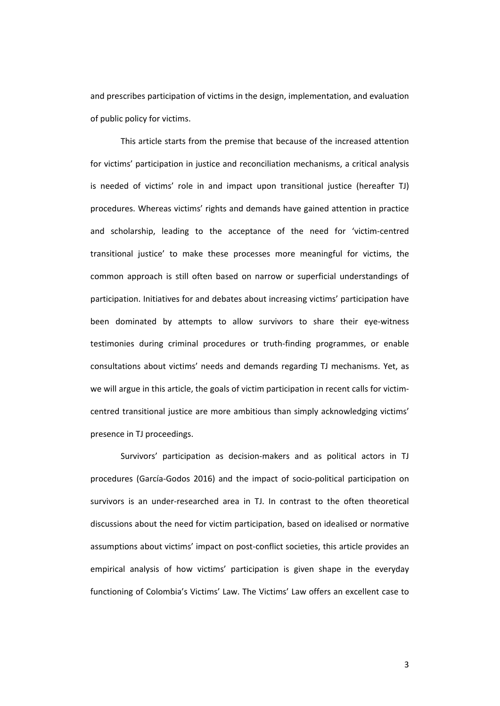and prescribes participation of victims in the design, implementation, and evaluation of public policy for victims.

This article starts from the premise that because of the increased attention for victims' participation in justice and reconciliation mechanisms, a critical analysis is needed of victims' role in and impact upon transitional justice (hereafter TJ) procedures. Whereas victims' rights and demands have gained attention in practice and scholarship, leading to the acceptance of the need for 'victim-centred transitional justice' to make these processes more meaningful for victims, the common approach is still often based on narrow or superficial understandings of participation. Initiatives for and debates about increasing victims' participation have been dominated by attempts to allow survivors to share their eye-witness testimonies during criminal procedures or truth‐finding programmes, or enable consultations about victims' needs and demands regarding TJ mechanisms. Yet, as we will argue in this article, the goals of victim participation in recent calls for victimcentred transitional justice are more ambitious than simply acknowledging victims' presence in TJ proceedings.

Survivors' participation as decision‐makers and as political actors in TJ procedures (García‐Godos 2016) and the impact of socio‐political participation on survivors is an under‐researched area in TJ. In contrast to the often theoretical discussions about the need for victim participation, based on idealised or normative assumptions about victims' impact on post‐conflict societies, this article provides an empirical analysis of how victims' participation is given shape in the everyday functioning of Colombia's Victims' Law. The Victims' Law offers an excellent case to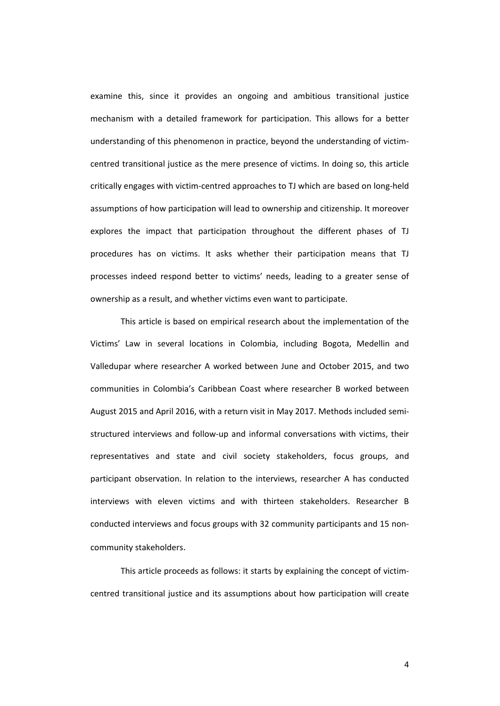examine this, since it provides an ongoing and ambitious transitional justice mechanism with a detailed framework for participation. This allows for a better understanding of this phenomenon in practice, beyond the understanding of victim‐ centred transitional justice as the mere presence of victims. In doing so, this article critically engages with victim‐centred approaches to TJ which are based on long‐held assumptions of how participation will lead to ownership and citizenship. It moreover explores the impact that participation throughout the different phases of TJ procedures has on victims. It asks whether their participation means that TJ processes indeed respond better to victims' needs, leading to a greater sense of ownership as a result, and whether victims even want to participate.

This article is based on empirical research about the implementation of the Victims' Law in several locations in Colombia, including Bogota, Medellin and Valledupar where researcher A worked between June and October 2015, and two communities in Colombia's Caribbean Coast where researcher B worked between August 2015 and April 2016, with a return visit in May 2017. Methods included semi‐ structured interviews and follow‐up and informal conversations with victims, their representatives and state and civil society stakeholders, focus groups, and participant observation. In relation to the interviews, researcher A has conducted interviews with eleven victims and with thirteen stakeholders. Researcher B conducted interviews and focus groups with 32 community participants and 15 non‐ community stakeholders.

This article proceeds as follows: it starts by explaining the concept of victim‐ centred transitional justice and its assumptions about how participation will create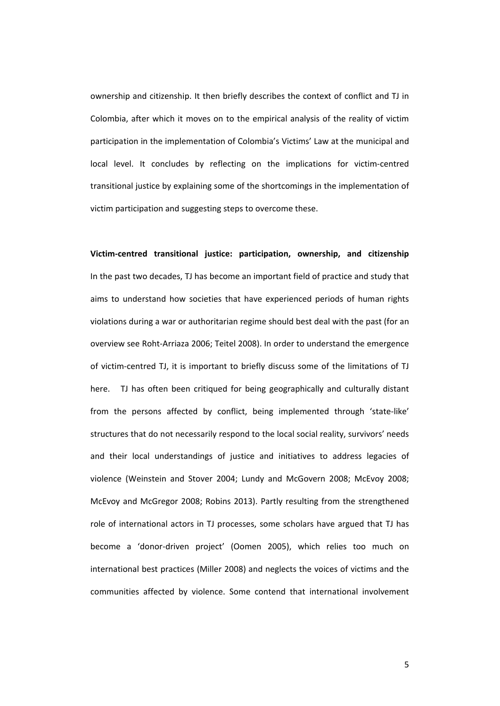ownership and citizenship. It then briefly describes the context of conflict and TJ in Colombia, after which it moves on to the empirical analysis of the reality of victim participation in the implementation of Colombia's Victims' Law at the municipal and local level. It concludes by reflecting on the implications for victim‐centred transitional justice by explaining some of the shortcomings in the implementation of victim participation and suggesting steps to overcome these.

**Victim‐centred transitional justice: participation, ownership, and citizenship** In the past two decades, TJ has become an important field of practice and study that aims to understand how societies that have experienced periods of human rights violations during a war or authoritarian regime should best deal with the past (for an overview see Roht‐Arriaza 2006; Teitel 2008). In order to understand the emergence of victim‐centred TJ, it is important to briefly discuss some of the limitations of TJ here. TJ has often been critiqued for being geographically and culturally distant from the persons affected by conflict, being implemented through 'state-like' structures that do not necessarily respond to the local social reality, survivors' needs and their local understandings of justice and initiatives to address legacies of violence (Weinstein and Stover 2004; Lundy and McGovern 2008; McEvoy 2008; McEvoy and McGregor 2008; Robins 2013). Partly resulting from the strengthened role of international actors in TJ processes, some scholars have argued that TJ has become a 'donor‐driven project' (Oomen 2005), which relies too much on international best practices (Miller 2008) and neglects the voices of victims and the communities affected by violence. Some contend that international involvement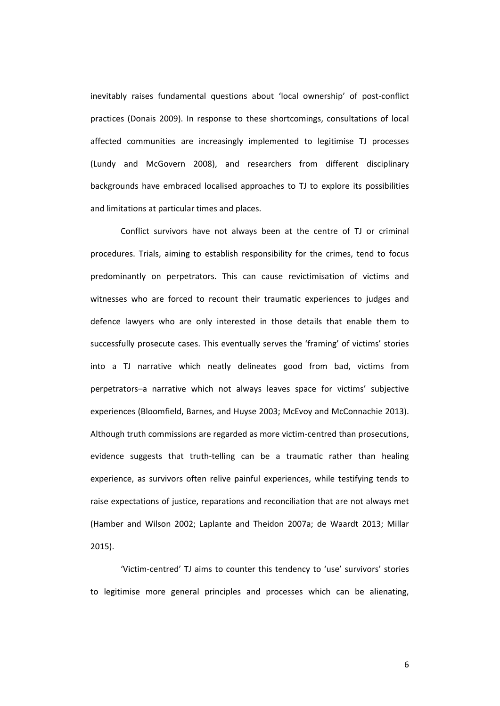inevitably raises fundamental questions about 'local ownership' of post‐conflict practices (Donais 2009). In response to these shortcomings, consultations of local affected communities are increasingly implemented to legitimise TJ processes (Lundy and McGovern 2008), and researchers from different disciplinary backgrounds have embraced localised approaches to TJ to explore its possibilities and limitations at particular times and places.

Conflict survivors have not always been at the centre of TJ or criminal procedures. Trials, aiming to establish responsibility for the crimes, tend to focus predominantly on perpetrators. This can cause revictimisation of victims and witnesses who are forced to recount their traumatic experiences to judges and defence lawyers who are only interested in those details that enable them to successfully prosecute cases. This eventually serves the 'framing' of victims' stories into a TJ narrative which neatly delineates good from bad, victims from perpetrators–a narrative which not always leaves space for victims' subjective experiences (Bloomfield, Barnes, and Huyse 2003; McEvoy and McConnachie 2013). Although truth commissions are regarded as more victim‐centred than prosecutions, evidence suggests that truth-telling can be a traumatic rather than healing experience, as survivors often relive painful experiences, while testifying tends to raise expectations of justice, reparations and reconciliation that are not always met (Hamber and Wilson 2002; Laplante and Theidon 2007a; de Waardt 2013; Millar 2015).

'Victim‐centred' TJ aims to counter this tendency to 'use' survivors' stories to legitimise more general principles and processes which can be alienating,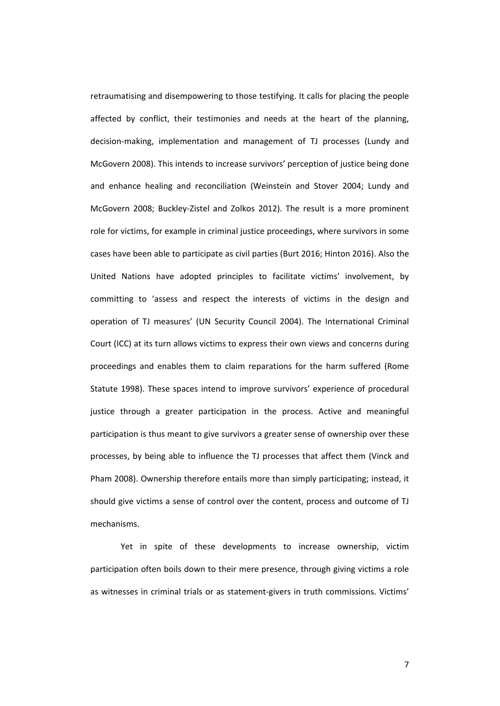retraumatising and disempowering to those testifying. It calls for placing the people affected by conflict, their testimonies and needs at the heart of the planning, decision‐making, implementation and management of TJ processes (Lundy and McGovern 2008). This intends to increase survivors' perception of justice being done and enhance healing and reconciliation (Weinstein and Stover 2004; Lundy and McGovern 2008; Buckley‐Zistel and Zolkos 2012). The result is a more prominent role for victims, for example in criminal justice proceedings, where survivors in some cases have been able to participate as civil parties (Burt 2016; Hinton 2016). Also the United Nations have adopted principles to facilitate victims' involvement, by committing to 'assess and respect the interests of victims in the design and operation of TJ measures' (UN Security Council 2004). The International Criminal Court (ICC) at its turn allows victims to express their own views and concerns during proceedings and enables them to claim reparations for the harm suffered (Rome Statute 1998). These spaces intend to improve survivors' experience of procedural justice through a greater participation in the process. Active and meaningful participation is thus meant to give survivors a greater sense of ownership over these processes, by being able to influence the TJ processes that affect them (Vinck and Pham 2008). Ownership therefore entails more than simply participating; instead, it should give victims a sense of control over the content, process and outcome of TJ mechanisms.

Yet in spite of these developments to increase ownership, victim participation often boils down to their mere presence, through giving victims a role as witnesses in criminal trials or as statement‐givers in truth commissions. Victims'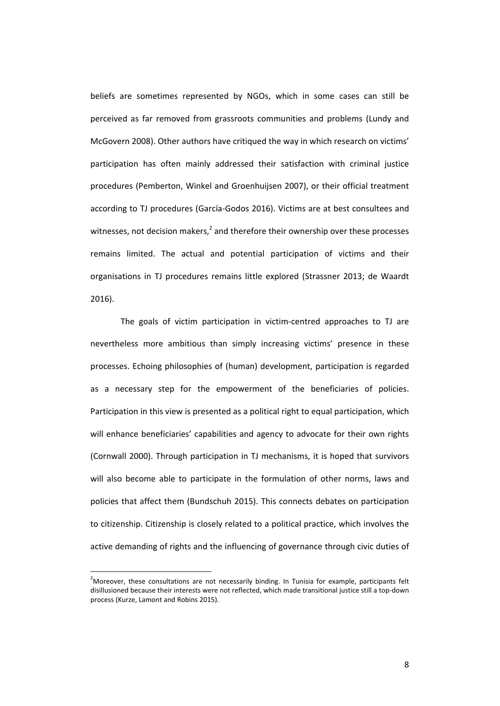beliefs are sometimes represented by NGOs, which in some cases can still be perceived as far removed from grassroots communities and problems (Lundy and McGovern 2008). Other authors have critiqued the way in which research on victims' participation has often mainly addressed their satisfaction with criminal justice procedures (Pemberton, Winkel and Groenhuijsen 2007), or their official treatment according to TJ procedures (García‐Godos 2016). Victims are at best consultees and witnesses, not decision makers, $<sup>2</sup>$  and therefore their ownership over these processes</sup> remains limited. The actual and potential participation of victims and their organisations in TJ procedures remains little explored (Strassner 2013; de Waardt 2016).

The goals of victim participation in victim‐centred approaches to TJ are nevertheless more ambitious than simply increasing victims' presence in these processes. Echoing philosophies of (human) development, participation is regarded as a necessary step for the empowerment of the beneficiaries of policies. Participation in this view is presented as a political right to equal participation, which will enhance beneficiaries' capabilities and agency to advocate for their own rights (Cornwall 2000). Through participation in TJ mechanisms, it is hoped that survivors will also become able to participate in the formulation of other norms, laws and policies that affect them (Bundschuh 2015). This connects debates on participation to citizenship. Citizenship is closely related to a political practice, which involves the active demanding of rights and the influencing of governance through civic duties of

 $\overline{a}$ 

<sup>&</sup>lt;sup>2</sup>Moreover, these consultations are not necessarily binding. In Tunisia for example, participants felt disillusioned because their interests were not reflected, which made transitional justice still a top‐down process (Kurze, Lamont and Robins 2015).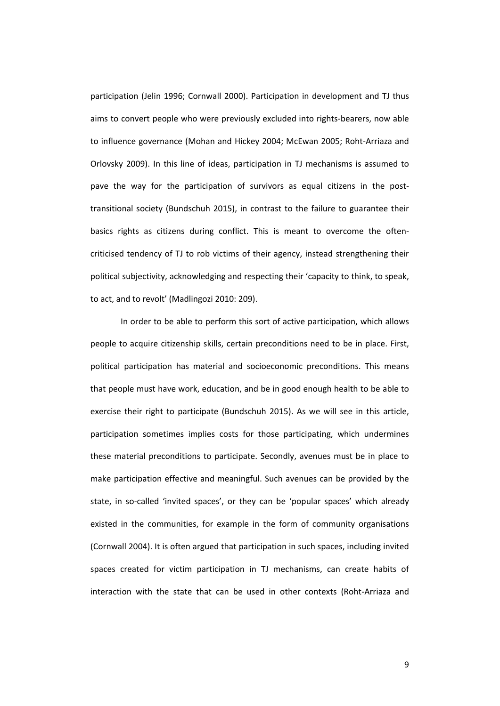participation (Jelin 1996; Cornwall 2000). Participation in development and TJ thus aims to convert people who were previously excluded into rights‐bearers, now able to influence governance (Mohan and Hickey 2004; McEwan 2005; Roht‐Arriaza and Orlovsky 2009). In this line of ideas, participation in TJ mechanisms is assumed to pave the way for the participation of survivors as equal citizens in the posttransitional society (Bundschuh 2015), in contrast to the failure to guarantee their basics rights as citizens during conflict. This is meant to overcome the often‐ criticised tendency of TJ to rob victims of their agency, instead strengthening their political subjectivity, acknowledging and respecting their 'capacity to think, to speak, to act, and to revolt' (Madlingozi 2010: 209).

In order to be able to perform this sort of active participation, which allows people to acquire citizenship skills, certain preconditions need to be in place. First, political participation has material and socioeconomic preconditions. This means that people must have work, education, and be in good enough health to be able to exercise their right to participate (Bundschuh 2015). As we will see in this article, participation sometimes implies costs for those participating, which undermines these material preconditions to participate. Secondly, avenues must be in place to make participation effective and meaningful. Such avenues can be provided by the state, in so-called 'invited spaces', or they can be 'popular spaces' which already existed in the communities, for example in the form of community organisations (Cornwall 2004). It is often argued that participation in such spaces, including invited spaces created for victim participation in TJ mechanisms, can create habits of interaction with the state that can be used in other contexts (Roht‐Arriaza and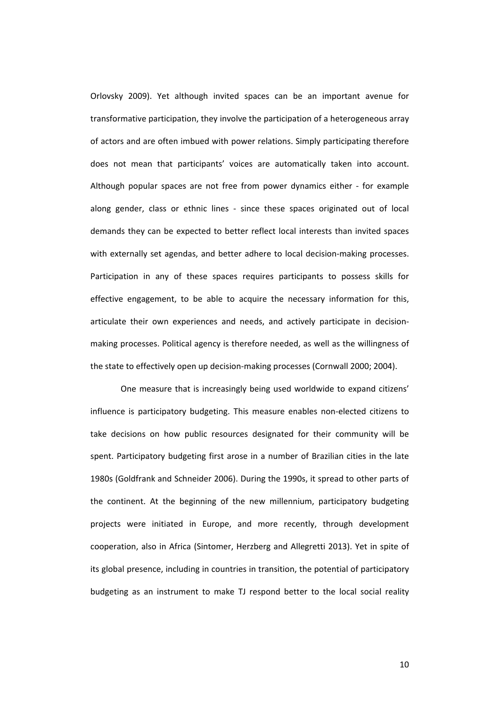Orlovsky 2009). Yet although invited spaces can be an important avenue for transformative participation, they involve the participation of a heterogeneous array of actors and are often imbued with power relations. Simply participating therefore does not mean that participants' voices are automatically taken into account. Although popular spaces are not free from power dynamics either ‐ for example along gender, class or ethnic lines - since these spaces originated out of local demands they can be expected to better reflect local interests than invited spaces with externally set agendas, and better adhere to local decision-making processes. Participation in any of these spaces requires participants to possess skills for effective engagement, to be able to acquire the necessary information for this, articulate their own experiences and needs, and actively participate in decision‐ making processes. Political agency is therefore needed, as well as the willingness of the state to effectively open up decision-making processes (Cornwall 2000; 2004).

One measure that is increasingly being used worldwide to expand citizens' influence is participatory budgeting. This measure enables non‐elected citizens to take decisions on how public resources designated for their community will be spent. Participatory budgeting first arose in a number of Brazilian cities in the late 1980s (Goldfrank and Schneider 2006). During the 1990s, it spread to other parts of the continent. At the beginning of the new millennium, participatory budgeting projects were initiated in Europe, and more recently, through development cooperation, also in Africa (Sintomer, Herzberg and Allegretti 2013). Yet in spite of its global presence, including in countries in transition, the potential of participatory budgeting as an instrument to make TJ respond better to the local social reality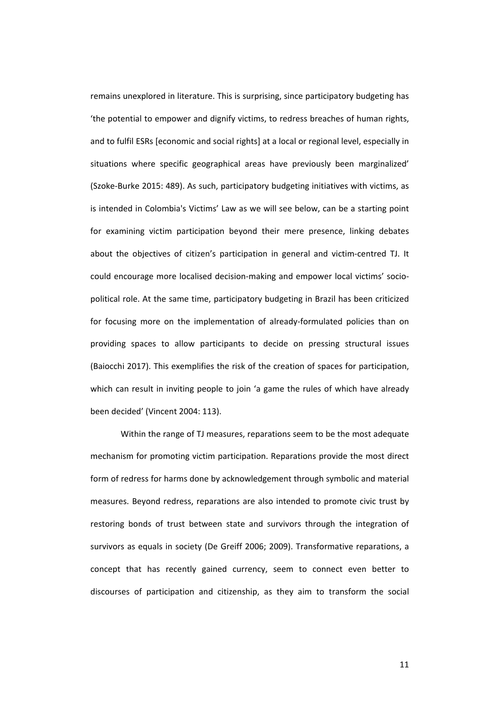remains unexplored in literature. This is surprising, since participatory budgeting has 'the potential to empower and dignify victims, to redress breaches of human rights, and to fulfil ESRs [economic and social rights] at a local or regional level, especially in situations where specific geographical areas have previously been marginalized' (Szoke‐Burke 2015: 489). As such, participatory budgeting initiatives with victims, as is intended in Colombia's Victims' Law as we will see below, can be a starting point for examining victim participation beyond their mere presence, linking debates about the objectives of citizen's participation in general and victim‐centred TJ. It could encourage more localised decision-making and empower local victims' sociopolitical role. At the same time, participatory budgeting in Brazil has been criticized for focusing more on the implementation of already-formulated policies than on providing spaces to allow participants to decide on pressing structural issues (Baiocchi 2017). This exemplifies the risk of the creation of spaces for participation, which can result in inviting people to join 'a game the rules of which have already been decided' (Vincent 2004: 113).

Within the range of TJ measures, reparations seem to be the most adequate mechanism for promoting victim participation. Reparations provide the most direct form of redress for harms done by acknowledgement through symbolic and material measures. Beyond redress, reparations are also intended to promote civic trust by restoring bonds of trust between state and survivors through the integration of survivors as equals in society (De Greiff 2006; 2009). Transformative reparations, a concept that has recently gained currency, seem to connect even better to discourses of participation and citizenship, as they aim to transform the social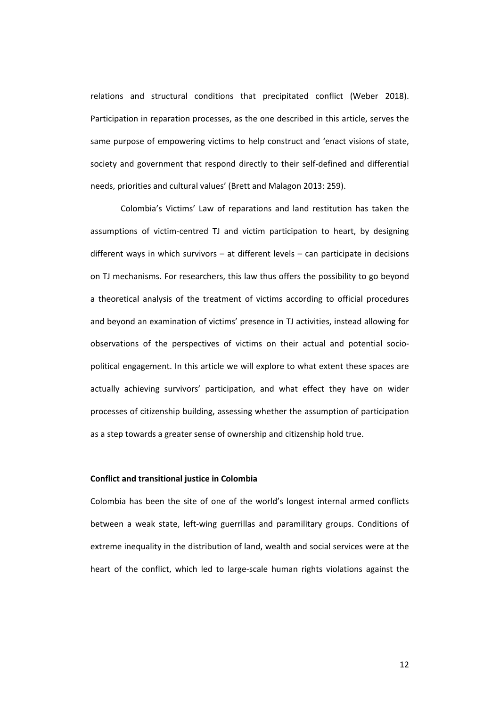relations and structural conditions that precipitated conflict (Weber 2018). Participation in reparation processes, as the one described in this article, serves the same purpose of empowering victims to help construct and 'enact visions of state, society and government that respond directly to their self-defined and differential needs, priorities and cultural values' (Brett and Malagon 2013: 259).

Colombia's Victims' Law of reparations and land restitution has taken the assumptions of victim‐centred TJ and victim participation to heart, by designing different ways in which survivors – at different levels – can participate in decisions on TJ mechanisms. For researchers, this law thus offers the possibility to go beyond a theoretical analysis of the treatment of victims according to official procedures and beyond an examination of victims' presence in TJ activities, instead allowing for observations of the perspectives of victims on their actual and potential socio‐ political engagement. In this article we will explore to what extent these spaces are actually achieving survivors' participation, and what effect they have on wider processes of citizenship building, assessing whether the assumption of participation as a step towards a greater sense of ownership and citizenship hold true.

# **Conflict and transitional justice in Colombia**

Colombia has been the site of one of the world's longest internal armed conflicts between a weak state, left-wing guerrillas and paramilitary groups. Conditions of extreme inequality in the distribution of land, wealth and social services were at the heart of the conflict, which led to large-scale human rights violations against the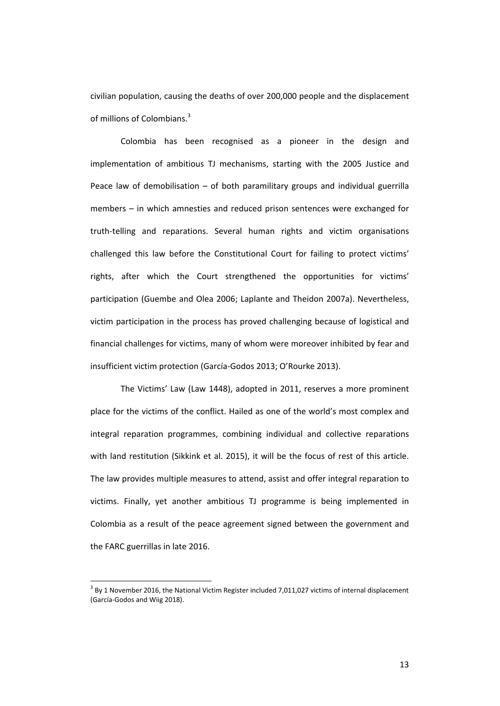civilian population, causing the deaths of over 200,000 people and the displacement of millions of Colombians.<sup>3</sup>

Colombia has been recognised as a pioneer in the design and implementation of ambitious TJ mechanisms, starting with the 2005 Justice and Peace law of demobilisation  $-$  of both paramilitary groups and individual guerrilla members – in which amnesties and reduced prison sentences were exchanged for truth‐telling and reparations. Several human rights and victim organisations challenged this law before the Constitutional Court for failing to protect victims' rights, after which the Court strengthened the opportunities for victims' participation (Guembe and Olea 2006; Laplante and Theidon 2007a). Nevertheless, victim participation in the process has proved challenging because of logistical and financial challenges for victims, many of whom were moreover inhibited by fear and insufficient victim protection (García‐Godos 2013; O'Rourke 2013).

The Victims' Law (Law 1448), adopted in 2011, reserves a more prominent place for the victims of the conflict. Hailed as one of the world's most complex and integral reparation programmes, combining individual and collective reparations with land restitution (Sikkink et al. 2015), it will be the focus of rest of this article. The law provides multiple measures to attend, assist and offer integral reparation to victims. Finally, yet another ambitious TJ programme is being implemented in Colombia as a result of the peace agreement signed between the government and the FARC guerrillas in late 2016.

 $\overline{a}$ 

 $3$  By 1 November 2016, the National Victim Register included 7,011,027 victims of internal displacement (García‐Godos and Wiig 2018).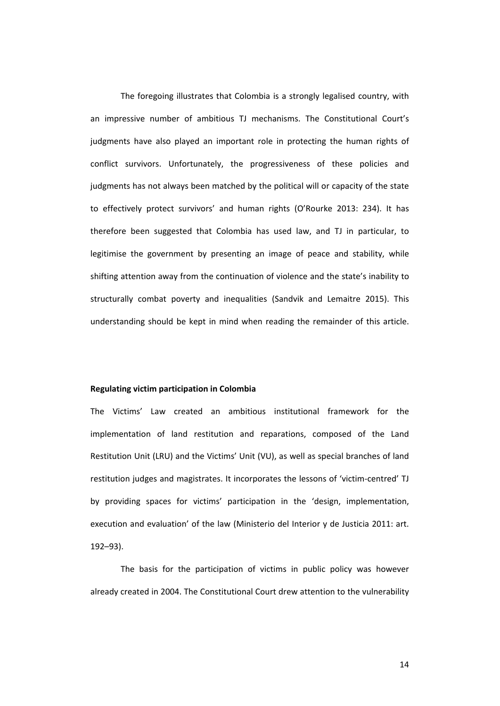The foregoing illustrates that Colombia is a strongly legalised country, with an impressive number of ambitious TJ mechanisms. The Constitutional Court's judgments have also played an important role in protecting the human rights of conflict survivors. Unfortunately, the progressiveness of these policies and judgments has not always been matched by the political will or capacity of the state to effectively protect survivors' and human rights (O'Rourke 2013: 234). It has therefore been suggested that Colombia has used law, and TJ in particular, to legitimise the government by presenting an image of peace and stability, while shifting attention away from the continuation of violence and the state's inability to structurally combat poverty and inequalities (Sandvik and Lemaitre 2015). This understanding should be kept in mind when reading the remainder of this article.

## **Regulating victim participation in Colombia**

The Victims' Law created an ambitious institutional framework for the implementation of land restitution and reparations, composed of the Land Restitution Unit (LRU) and the Victims' Unit (VU), as well as special branches of land restitution judges and magistrates. It incorporates the lessons of 'victim‐centred' TJ by providing spaces for victims' participation in the 'design, implementation, execution and evaluation' of the law (Ministerio del Interior y de Justicia 2011: art. 192–93).

The basis for the participation of victims in public policy was however already created in 2004. The Constitutional Court drew attention to the vulnerability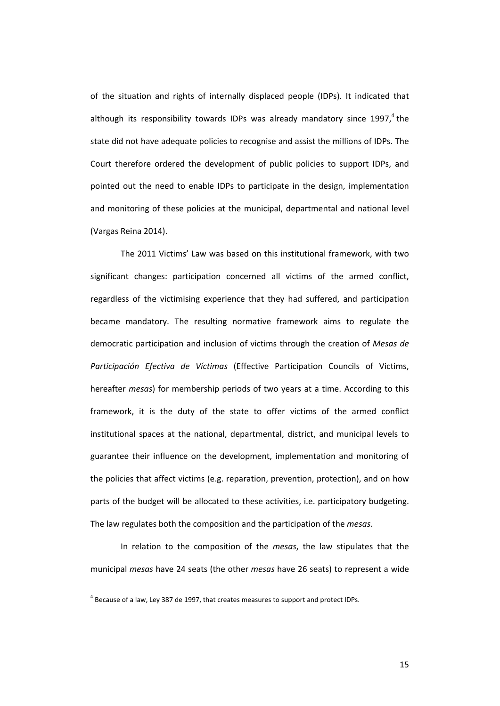of the situation and rights of internally displaced people (IDPs). It indicated that although its responsibility towards IDPs was already mandatory since  $1997<sup>4</sup>$ , the state did not have adequate policies to recognise and assist the millions of IDPs. The Court therefore ordered the development of public policies to support IDPs, and pointed out the need to enable IDPs to participate in the design, implementation and monitoring of these policies at the municipal, departmental and national level (Vargas Reina 2014).

The 2011 Victims' Law was based on this institutional framework, with two significant changes: participation concerned all victims of the armed conflict, regardless of the victimising experience that they had suffered, and participation became mandatory. The resulting normative framework aims to regulate the democratic participation and inclusion of victims through the creation of *Mesas de Participación Efectiva de Víctimas* (Effective Participation Councils of Victims, hereafter *mesas*) for membership periods of two years at a time. According to this framework, it is the duty of the state to offer victims of the armed conflict institutional spaces at the national, departmental, district, and municipal levels to guarantee their influence on the development, implementation and monitoring of the policies that affect victims (e.g. reparation, prevention, protection), and on how parts of the budget will be allocated to these activities, i.e. participatory budgeting. The law regulates both the composition and the participation of the *mesas*.

In relation to the composition of the *mesas*, the law stipulates that the municipal *mesas* have 24 seats (the other *mesas* have 26 seats) to represent a wide

 $\overline{a}$ 

<sup>&</sup>lt;sup>4</sup> Because of a law, Ley 387 de 1997, that creates measures to support and protect IDPs.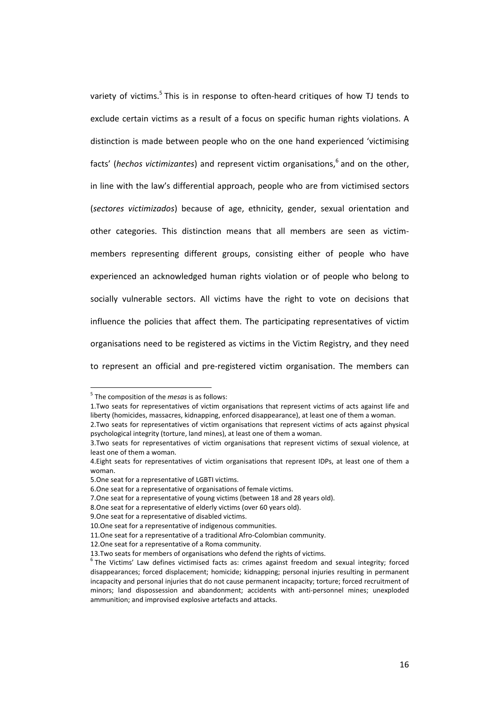variety of victims.<sup>5</sup> This is in response to often-heard critiques of how TJ tends to exclude certain victims as a result of a focus on specific human rights violations. A distinction is made between people who on the one hand experienced 'victimising facts' (*hechos victimizantes*) and represent victim organisations,<sup>6</sup> and on the other, in line with the law's differential approach, people who are from victimised sectors (*sectores victimizados*) because of age, ethnicity, gender, sexual orientation and other categories. This distinction means that all members are seen as victim‐ members representing different groups, consisting either of people who have experienced an acknowledged human rights violation or of people who belong to socially vulnerable sectors. All victims have the right to vote on decisions that influence the policies that affect them. The participating representatives of victim organisations need to be registered as victims in the Victim Registry, and they need to represent an official and pre‐registered victim organisation. The members can

 $\overline{a}$ 

<sup>5</sup> The composition of the *mesas* is as follows:

<sup>1.</sup>Two seats for representatives of victim organisations that represent victims of acts against life and liberty (homicides, massacres, kidnapping, enforced disappearance), at least one of them a woman.

<sup>2.</sup>Two seats for representatives of victim organisations that represent victims of acts against physical psychological integrity (torture, land mines), at least one of them a woman.

<sup>3.</sup>Two seats for representatives of victim organisations that represent victims of sexual violence, at least one of them a woman.

<sup>4.</sup>Eight seats for representatives of victim organisations that represent IDPs, at least one of them a woman.

<sup>5.</sup>One seat for a representative of LGBTI victims.

<sup>6.</sup>One seat for a representative of organisations of female victims.

<sup>7.</sup>One seat for a representative of young victims (between 18 and 28 years old).

<sup>8.</sup>One seat for a representative of elderly victims (over 60 years old).

<sup>9.</sup>One seat for a representative of disabled victims.

<sup>10.</sup>One seat for a representative of indigenous communities.

<sup>11.</sup> One seat for a representative of a traditional Afro-Colombian community.

<sup>12.</sup>One seat for a representative of a Roma community.

<sup>13.</sup>Two seats for members of organisations who defend the rights of victims.<br> $6$ The Victims' Law defines victimised facts as: crimes against freedom and sexual integrity; forced disappearances; forced displacement; homicide; kidnapping; personal injuries resulting in permanent incapacity and personal injuries that do not cause permanent incapacity; torture; forced recruitment of minors; land dispossession and abandonment; accidents with anti-personnel mines; unexploded ammunition; and improvised explosive artefacts and attacks.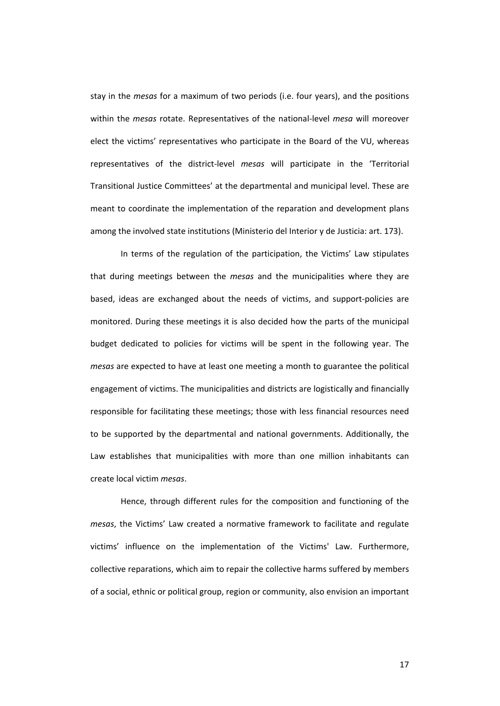stay in the *mesas* for a maximum of two periods (i.e. four years), and the positions within the *mesas* rotate. Representatives of the national‐level *mesa* will moreover elect the victims' representatives who participate in the Board of the VU, whereas representatives of the district‐level *mesas* will participate in the 'Territorial Transitional Justice Committees' at the departmental and municipal level. These are meant to coordinate the implementation of the reparation and development plans among the involved state institutions (Ministerio del Interior y de Justicia: art. 173).

In terms of the regulation of the participation, the Victims' Law stipulates that during meetings between the *mesas* and the municipalities where they are based, ideas are exchanged about the needs of victims, and support‐policies are monitored. During these meetings it is also decided how the parts of the municipal budget dedicated to policies for victims will be spent in the following year. The *mesas* are expected to have at least one meeting a month to guarantee the political engagement of victims. The municipalities and districts are logistically and financially responsible for facilitating these meetings; those with less financial resources need to be supported by the departmental and national governments. Additionally, the Law establishes that municipalities with more than one million inhabitants can create local victim *mesas*.

Hence, through different rules for the composition and functioning of the *mesas*, the Victims' Law created a normative framework to facilitate and regulate victims' influence on the implementation of the Victims' Law. Furthermore, collective reparations, which aim to repair the collective harms suffered by members of a social, ethnic or political group, region or community, also envision an important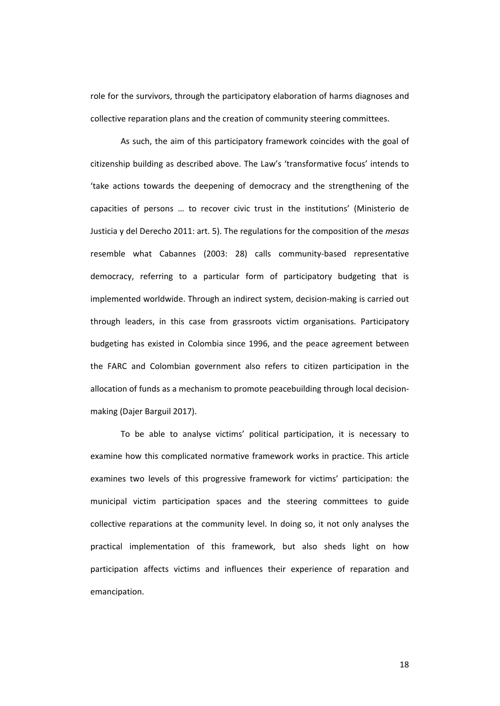role for the survivors, through the participatory elaboration of harms diagnoses and collective reparation plans and the creation of community steering committees.

As such, the aim of this participatory framework coincides with the goal of citizenship building as described above. The Law's 'transformative focus' intends to 'take actions towards the deepening of democracy and the strengthening of the capacities of persons … to recover civic trust in the institutions' (Ministerio de Justicia y del Derecho 2011: art. 5). The regulations for the composition of the *mesas* resemble what Cabannes (2003: 28) calls community‐based representative democracy, referring to a particular form of participatory budgeting that is implemented worldwide. Through an indirect system, decision-making is carried out through leaders, in this case from grassroots victim organisations. Participatory budgeting has existed in Colombia since 1996, and the peace agreement between the FARC and Colombian government also refers to citizen participation in the allocation of funds as a mechanism to promote peacebuilding through local decision‐ making (Dajer Barguil 2017).

To be able to analyse victims' political participation, it is necessary to examine how this complicated normative framework works in practice. This article examines two levels of this progressive framework for victims' participation: the municipal victim participation spaces and the steering committees to guide collective reparations at the community level. In doing so, it not only analyses the practical implementation of this framework, but also sheds light on how participation affects victims and influences their experience of reparation and emancipation.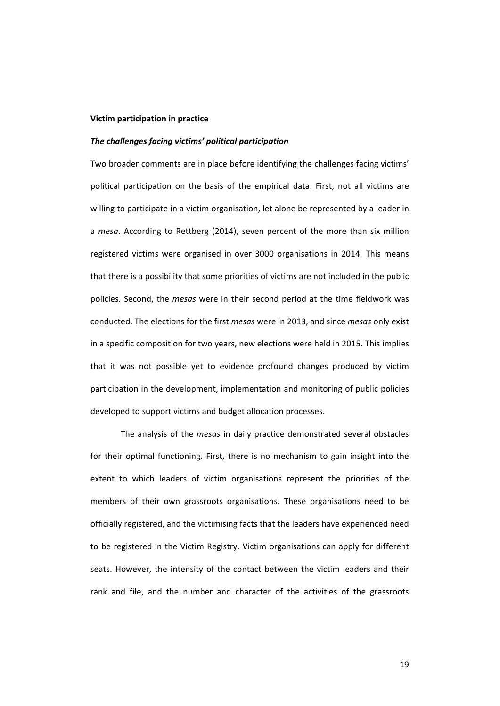#### **Victim participation in practice**

### *The challenges facing victims' political participation*

Two broader comments are in place before identifying the challenges facing victims' political participation on the basis of the empirical data. First, not all victims are willing to participate in a victim organisation, let alone be represented by a leader in a *mesa*. According to Rettberg (2014), seven percent of the more than six million registered victims were organised in over 3000 organisations in 2014. This means that there is a possibility that some priorities of victims are not included in the public policies. Second, the *mesas* were in their second period at the time fieldwork was conducted. The elections for the first *mesas* were in 2013, and since *mesas* only exist in a specific composition for two years, new elections were held in 2015. This implies that it was not possible yet to evidence profound changes produced by victim participation in the development, implementation and monitoring of public policies developed to support victims and budget allocation processes.

The analysis of the *mesas* in daily practice demonstrated several obstacles for their optimal functioning*.* First, there is no mechanism to gain insight into the extent to which leaders of victim organisations represent the priorities of the members of their own grassroots organisations. These organisations need to be officially registered, and the victimising facts that the leaders have experienced need to be registered in the Victim Registry. Victim organisations can apply for different seats. However, the intensity of the contact between the victim leaders and their rank and file, and the number and character of the activities of the grassroots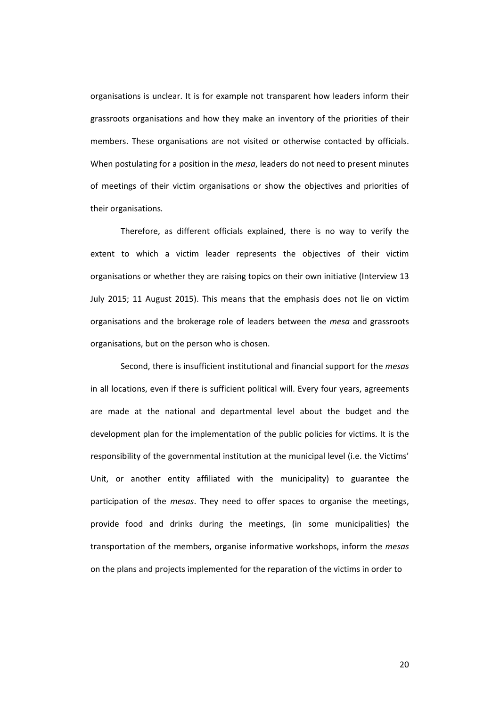organisations is unclear. It is for example not transparent how leaders inform their grassroots organisations and how they make an inventory of the priorities of their members. These organisations are not visited or otherwise contacted by officials. When postulating for a position in the *mesa*, leaders do not need to present minutes of meetings of their victim organisations or show the objectives and priorities of their organisations*.*

Therefore, as different officials explained, there is no way to verify the extent to which a victim leader represents the objectives of their victim organisations or whether they are raising topics on their own initiative (Interview 13 July 2015; 11 August 2015). This means that the emphasis does not lie on victim organisations and the brokerage role of leaders between the *mesa* and grassroots organisations, but on the person who is chosen.

Second, there is insufficient institutional and financial support for the *mesas* in all locations, even if there is sufficient political will. Every four years, agreements are made at the national and departmental level about the budget and the development plan for the implementation of the public policies for victims. It is the responsibility of the governmental institution at the municipal level (i.e. the Victims' Unit, or another entity affiliated with the municipality) to guarantee the participation of the *mesas*. They need to offer spaces to organise the meetings, provide food and drinks during the meetings, (in some municipalities) the transportation of the members, organise informative workshops, inform the *mesas* on the plans and projects implemented for the reparation of the victims in order to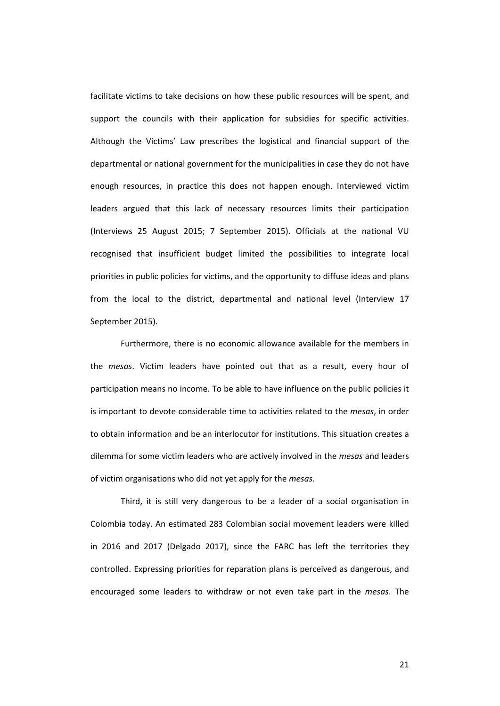facilitate victims to take decisions on how these public resources will be spent, and support the councils with their application for subsidies for specific activities. Although the Victims' Law prescribes the logistical and financial support of the departmental or national government for the municipalities in case they do not have enough resources, in practice this does not happen enough. Interviewed victim leaders argued that this lack of necessary resources limits their participation (Interviews 25 August 2015; 7 September 2015). Officials at the national VU recognised that insufficient budget limited the possibilities to integrate local priorities in public policies for victims, and the opportunity to diffuse ideas and plans from the local to the district, departmental and national level (Interview 17 September 2015).

Furthermore, there is no economic allowance available for the members in the *mesas*. Victim leaders have pointed out that as a result, every hour of participation means no income. To be able to have influence on the public policies it is important to devote considerable time to activities related to the *mesas*, in order to obtain information and be an interlocutor for institutions. This situation creates a dilemma for some victim leaders who are actively involved in the *mesas* and leaders of victim organisations who did not yet apply for the *mesas*.

Third, it is still very dangerous to be a leader of a social organisation in Colombia today. An estimated 283 Colombian social movement leaders were killed in 2016 and 2017 (Delgado 2017), since the FARC has left the territories they controlled. Expressing priorities for reparation plans is perceived as dangerous, and encouraged some leaders to withdraw or not even take part in the *mesas*. The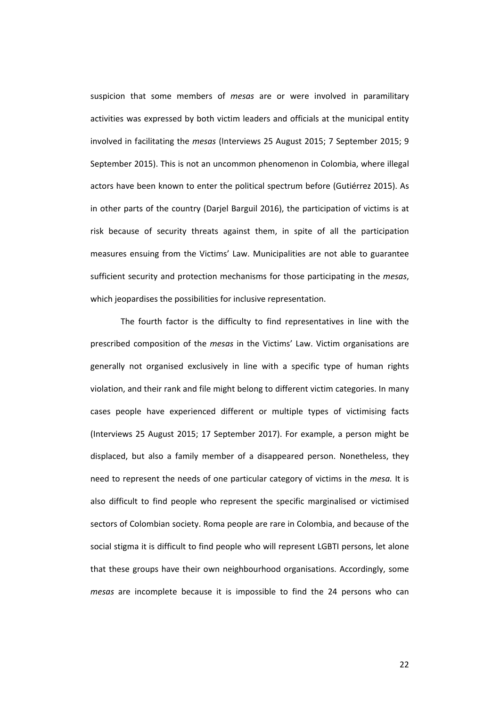suspicion that some members of *mesas* are or were involved in paramilitary activities was expressed by both victim leaders and officials at the municipal entity involved in facilitating the *mesas* (Interviews 25 August 2015; 7 September 2015; 9 September 2015). This is not an uncommon phenomenon in Colombia, where illegal actors have been known to enter the political spectrum before (Gutiérrez 2015). As in other parts of the country (Darjel Barguil 2016), the participation of victims is at risk because of security threats against them, in spite of all the participation measures ensuing from the Victims' Law. Municipalities are not able to guarantee sufficient security and protection mechanisms for those participating in the *mesas*, which jeopardises the possibilities for inclusive representation.

The fourth factor is the difficulty to find representatives in line with the prescribed composition of the *mesas* in the Victims' Law. Victim organisations are generally not organised exclusively in line with a specific type of human rights violation, and their rank and file might belong to different victim categories. In many cases people have experienced different or multiple types of victimising facts (Interviews 25 August 2015; 17 September 2017). For example, a person might be displaced, but also a family member of a disappeared person. Nonetheless, they need to represent the needs of one particular category of victims in the *mesa.* It is also difficult to find people who represent the specific marginalised or victimised sectors of Colombian society. Roma people are rare in Colombia, and because of the social stigma it is difficult to find people who will represent LGBTI persons, let alone that these groups have their own neighbourhood organisations. Accordingly, some *mesas* are incomplete because it is impossible to find the 24 persons who can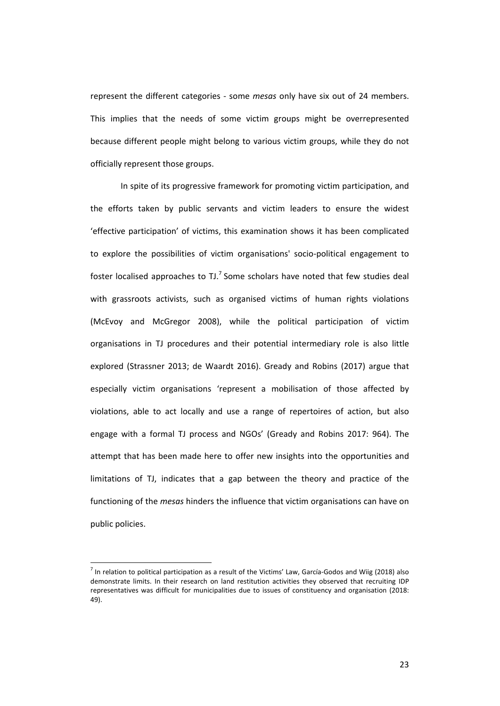represent the different categories ‐ some *mesas* only have six out of 24 members. This implies that the needs of some victim groups might be overrepresented because different people might belong to various victim groups, while they do not officially represent those groups.

In spite of its progressive framework for promoting victim participation, and the efforts taken by public servants and victim leaders to ensure the widest 'effective participation' of victims, this examination shows it has been complicated to explore the possibilities of victim organisations' socio‐political engagement to foster localised approaches to  $T J$ .<sup>7</sup> Some scholars have noted that few studies deal with grassroots activists, such as organised victims of human rights violations (McEvoy and McGregor 2008), while the political participation of victim organisations in TJ procedures and their potential intermediary role is also little explored (Strassner 2013; de Waardt 2016). Gready and Robins (2017) argue that especially victim organisations 'represent a mobilisation of those affected by violations, able to act locally and use a range of repertoires of action, but also engage with a formal TJ process and NGOs' (Gready and Robins 2017: 964). The attempt that has been made here to offer new insights into the opportunities and limitations of TJ, indicates that a gap between the theory and practice of the functioning of the *mesas* hinders the influence that victim organisations can have on public policies.

 $\overline{a}$ 

 $<sup>7</sup>$  In relation to political participation as a result of the Victims' Law, García-Godos and Wiig (2018) also</sup> demonstrate limits. In their research on land restitution activities they observed that recruiting IDP representatives was difficult for municipalities due to issues of constituency and organisation (2018: 49).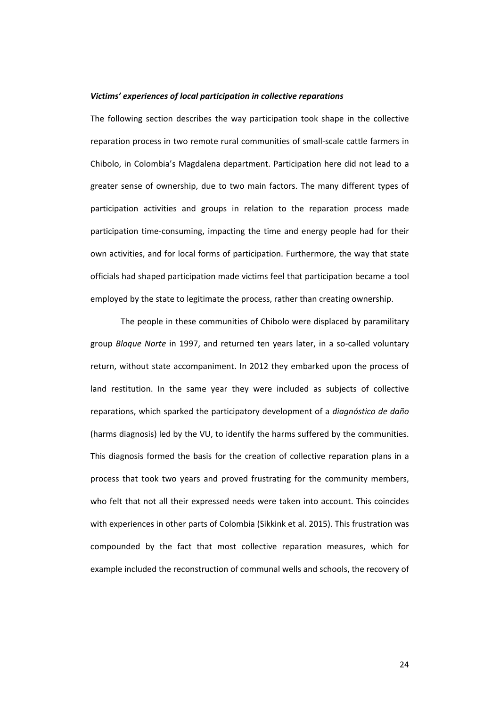#### *Victims' experiences of local participation in collective reparations*

The following section describes the way participation took shape in the collective reparation process in two remote rural communities of small‐scale cattle farmers in Chibolo, in Colombia's Magdalena department. Participation here did not lead to a greater sense of ownership, due to two main factors. The many different types of participation activities and groups in relation to the reparation process made participation time‐consuming, impacting the time and energy people had for their own activities, and for local forms of participation. Furthermore, the way that state officials had shaped participation made victims feel that participation became a tool employed by the state to legitimate the process, rather than creating ownership.

The people in these communities of Chibolo were displaced by paramilitary group *Bloque Norte* in 1997, and returned ten years later, in a so-called voluntary return, without state accompaniment. In 2012 they embarked upon the process of land restitution. In the same year they were included as subjects of collective reparations, which sparked the participatory development of a *diagnóstico de daño* (harms diagnosis) led by the VU, to identify the harms suffered by the communities. This diagnosis formed the basis for the creation of collective reparation plans in a process that took two years and proved frustrating for the community members, who felt that not all their expressed needs were taken into account. This coincides with experiences in other parts of Colombia (Sikkink et al. 2015). This frustration was compounded by the fact that most collective reparation measures, which for example included the reconstruction of communal wells and schools, the recovery of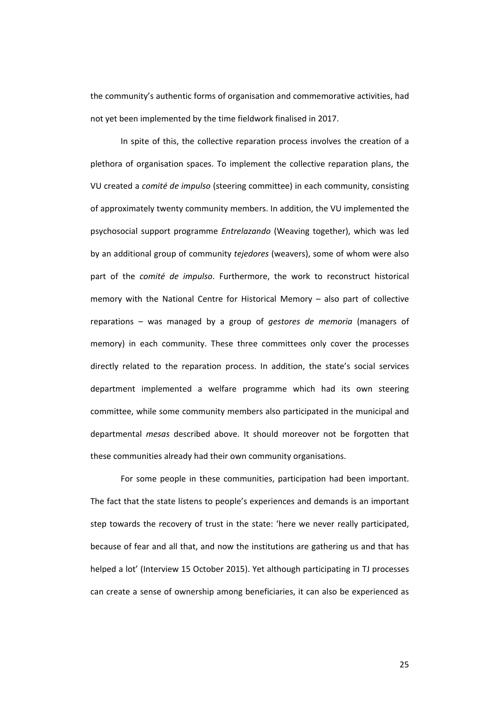the community's authentic forms of organisation and commemorative activities, had not yet been implemented by the time fieldwork finalised in 2017.

In spite of this, the collective reparation process involves the creation of a plethora of organisation spaces. To implement the collective reparation plans, the VU created a *comité de impulso* (steering committee) in each community, consisting of approximately twenty community members. In addition, the VU implemented the psychosocial support programme *Entrelazando* (Weaving together), which was led by an additional group of community *tejedores* (weavers), some of whom were also part of the *comité de impulso*. Furthermore, the work to reconstruct historical memory with the National Centre for Historical Memory – also part of collective reparations – was managed by a group of *gestores de memoria* (managers of memory) in each community. These three committees only cover the processes directly related to the reparation process. In addition, the state's social services department implemented a welfare programme which had its own steering committee, while some community members also participated in the municipal and departmental *mesas* described above. It should moreover not be forgotten that these communities already had their own community organisations.

For some people in these communities, participation had been important. The fact that the state listens to people's experiences and demands is an important step towards the recovery of trust in the state: 'here we never really participated, because of fear and all that, and now the institutions are gathering us and that has helped a lot' (Interview 15 October 2015). Yet although participating in TJ processes can create a sense of ownership among beneficiaries, it can also be experienced as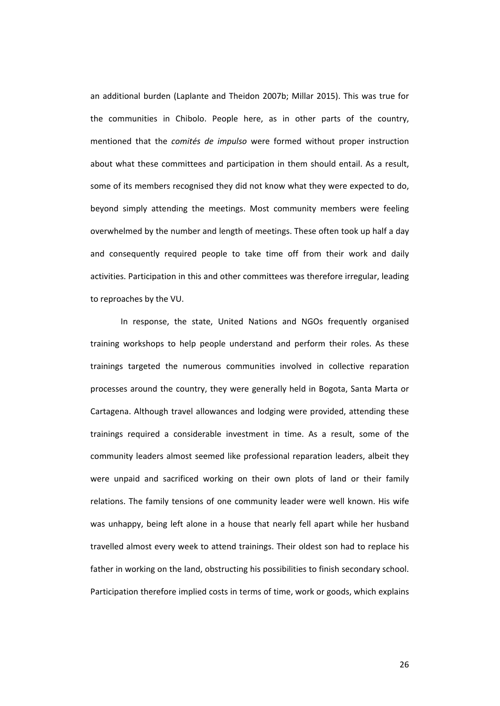an additional burden (Laplante and Theidon 2007b; Millar 2015). This was true for the communities in Chibolo. People here, as in other parts of the country, mentioned that the *comités de impulso* were formed without proper instruction about what these committees and participation in them should entail. As a result, some of its members recognised they did not know what they were expected to do, beyond simply attending the meetings. Most community members were feeling overwhelmed by the number and length of meetings. These often took up half a day and consequently required people to take time off from their work and daily activities. Participation in this and other committees was therefore irregular, leading to reproaches by the VU.

In response, the state, United Nations and NGOs frequently organised training workshops to help people understand and perform their roles. As these trainings targeted the numerous communities involved in collective reparation processes around the country, they were generally held in Bogota, Santa Marta or Cartagena. Although travel allowances and lodging were provided, attending these trainings required a considerable investment in time. As a result, some of the community leaders almost seemed like professional reparation leaders, albeit they were unpaid and sacrificed working on their own plots of land or their family relations. The family tensions of one community leader were well known. His wife was unhappy, being left alone in a house that nearly fell apart while her husband travelled almost every week to attend trainings. Their oldest son had to replace his father in working on the land, obstructing his possibilities to finish secondary school. Participation therefore implied costs in terms of time, work or goods, which explains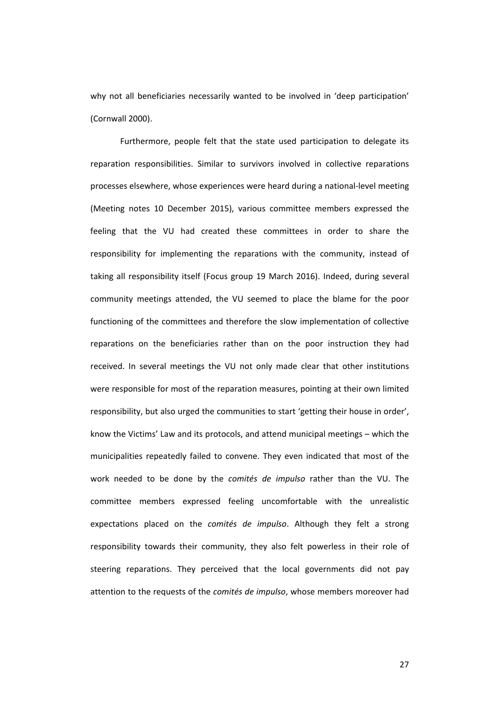why not all beneficiaries necessarily wanted to be involved in 'deep participation' (Cornwall 2000).

Furthermore, people felt that the state used participation to delegate its reparation responsibilities. Similar to survivors involved in collective reparations processes elsewhere, whose experiences were heard during a national‐level meeting (Meeting notes 10 December 2015), various committee members expressed the feeling that the VU had created these committees in order to share the responsibility for implementing the reparations with the community, instead of taking all responsibility itself (Focus group 19 March 2016). Indeed, during several community meetings attended, the VU seemed to place the blame for the poor functioning of the committees and therefore the slow implementation of collective reparations on the beneficiaries rather than on the poor instruction they had received. In several meetings the VU not only made clear that other institutions were responsible for most of the reparation measures, pointing at their own limited responsibility, but also urged the communities to start 'getting their house in order', know the Victims' Law and its protocols, and attend municipal meetings – which the municipalities repeatedly failed to convene. They even indicated that most of the work needed to be done by the *comités de impulso* rather than the VU. The committee members expressed feeling uncomfortable with the unrealistic expectations placed on the *comités de impulso*. Although they felt a strong responsibility towards their community, they also felt powerless in their role of steering reparations. They perceived that the local governments did not pay attention to the requests of the *comités de impulso*, whose members moreover had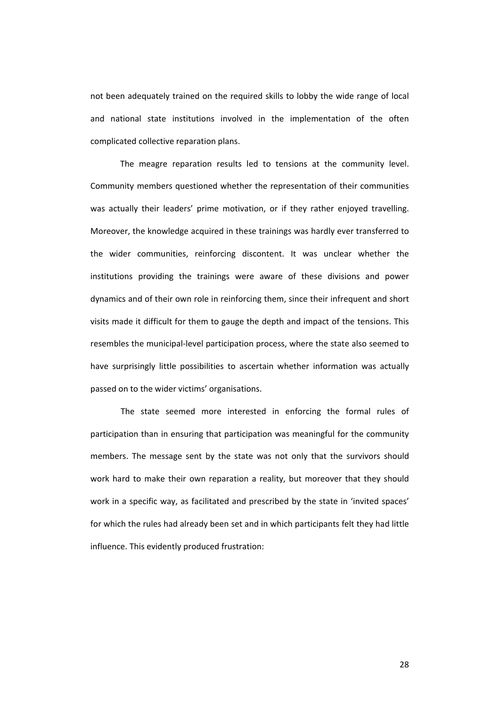not been adequately trained on the required skills to lobby the wide range of local and national state institutions involved in the implementation of the often complicated collective reparation plans.

The meagre reparation results led to tensions at the community level. Community members questioned whether the representation of their communities was actually their leaders' prime motivation, or if they rather enjoyed travelling. Moreover, the knowledge acquired in these trainings was hardly ever transferred to the wider communities, reinforcing discontent. It was unclear whether the institutions providing the trainings were aware of these divisions and power dynamics and of their own role in reinforcing them, since their infrequent and short visits made it difficult for them to gauge the depth and impact of the tensions. This resembles the municipal-level participation process, where the state also seemed to have surprisingly little possibilities to ascertain whether information was actually passed on to the wider victims' organisations.

The state seemed more interested in enforcing the formal rules of participation than in ensuring that participation was meaningful for the community members. The message sent by the state was not only that the survivors should work hard to make their own reparation a reality, but moreover that they should work in a specific way, as facilitated and prescribed by the state in 'invited spaces' for which the rules had already been set and in which participants felt they had little influence. This evidently produced frustration: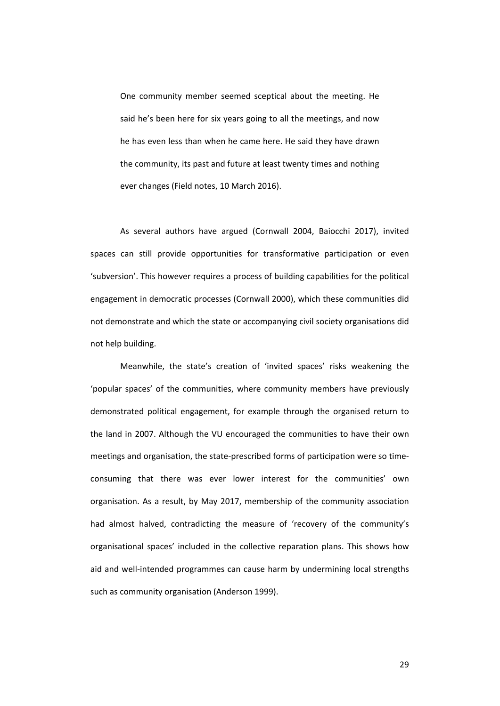One community member seemed sceptical about the meeting. He said he's been here for six years going to all the meetings, and now he has even less than when he came here. He said they have drawn the community, its past and future at least twenty times and nothing ever changes (Field notes, 10 March 2016).

As several authors have argued (Cornwall 2004, Baiocchi 2017), invited spaces can still provide opportunities for transformative participation or even 'subversion'. This however requires a process of building capabilities for the political engagement in democratic processes (Cornwall 2000), which these communities did not demonstrate and which the state or accompanying civil society organisations did not help building.

Meanwhile, the state's creation of 'invited spaces' risks weakening the 'popular spaces' of the communities, where community members have previously demonstrated political engagement, for example through the organised return to the land in 2007. Although the VU encouraged the communities to have their own meetings and organisation, the state‐prescribed forms of participation were so time‐ consuming that there was ever lower interest for the communities' own organisation. As a result, by May 2017, membership of the community association had almost halved, contradicting the measure of 'recovery of the community's organisational spaces' included in the collective reparation plans. This shows how aid and well‐intended programmes can cause harm by undermining local strengths such as community organisation (Anderson 1999).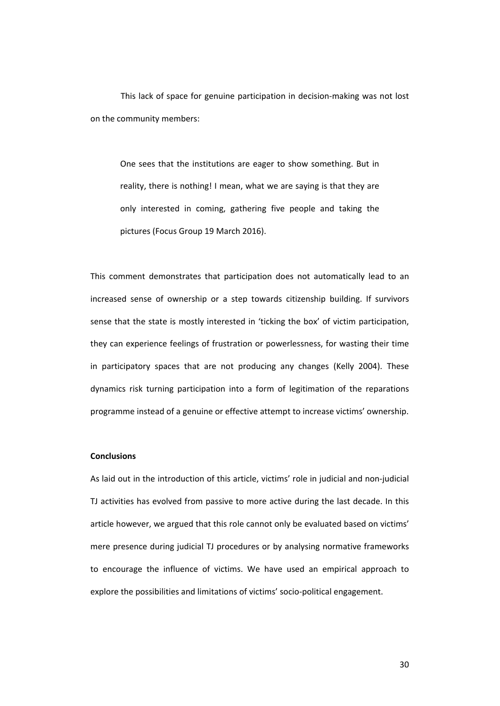This lack of space for genuine participation in decision‐making was not lost on the community members:

One sees that the institutions are eager to show something. But in reality, there is nothing! I mean, what we are saying is that they are only interested in coming, gathering five people and taking the pictures (Focus Group 19 March 2016).

This comment demonstrates that participation does not automatically lead to an increased sense of ownership or a step towards citizenship building. If survivors sense that the state is mostly interested in 'ticking the box' of victim participation, they can experience feelings of frustration or powerlessness, for wasting their time in participatory spaces that are not producing any changes (Kelly 2004). These dynamics risk turning participation into a form of legitimation of the reparations programme instead of a genuine or effective attempt to increase victims' ownership.

## **Conclusions**

As laid out in the introduction of this article, victims' role in judicial and non‐judicial TJ activities has evolved from passive to more active during the last decade. In this article however, we argued that this role cannot only be evaluated based on victims' mere presence during judicial TJ procedures or by analysing normative frameworks to encourage the influence of victims. We have used an empirical approach to explore the possibilities and limitations of victims' socio‐political engagement.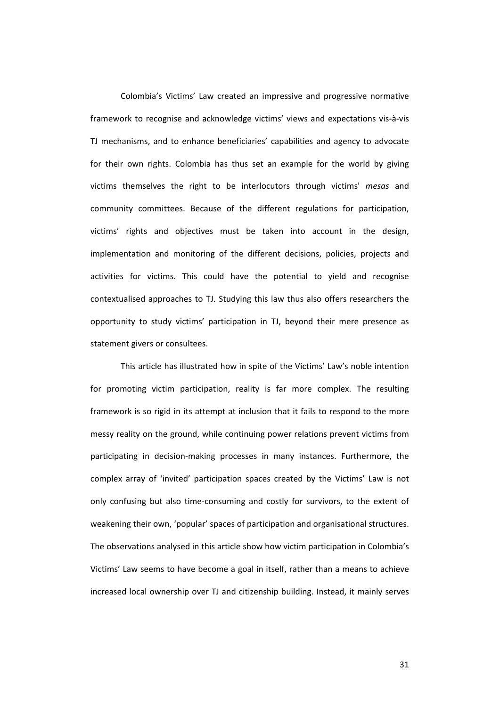Colombia's Victims' Law created an impressive and progressive normative framework to recognise and acknowledge victims' views and expectations vis‐à‐vis TJ mechanisms, and to enhance beneficiaries' capabilities and agency to advocate for their own rights. Colombia has thus set an example for the world by giving victims themselves the right to be interlocutors through victims' *mesas* and community committees. Because of the different regulations for participation, victims' rights and objectives must be taken into account in the design, implementation and monitoring of the different decisions, policies, projects and activities for victims. This could have the potential to yield and recognise contextualised approaches to TJ. Studying this law thus also offers researchers the opportunity to study victims' participation in TJ, beyond their mere presence as statement givers or consultees.

This article has illustrated how in spite of the Victims' Law's noble intention for promoting victim participation, reality is far more complex. The resulting framework is so rigid in its attempt at inclusion that it fails to respond to the more messy reality on the ground, while continuing power relations prevent victims from participating in decision‐making processes in many instances. Furthermore, the complex array of 'invited' participation spaces created by the Victims' Law is not only confusing but also time‐consuming and costly for survivors, to the extent of weakening their own, 'popular' spaces of participation and organisational structures. The observations analysed in this article show how victim participation in Colombia's Victims' Law seems to have become a goal in itself, rather than a means to achieve increased local ownership over TJ and citizenship building. Instead, it mainly serves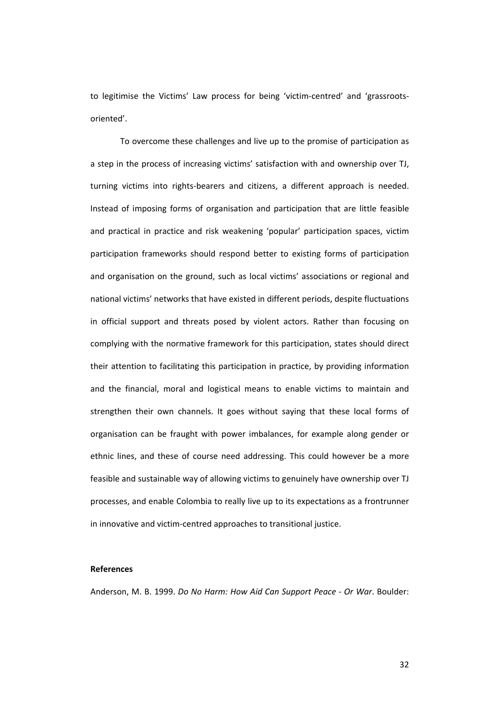to legitimise the Victims' Law process for being 'victim‐centred' and 'grassroots‐ oriented'.

To overcome these challenges and live up to the promise of participation as a step in the process of increasing victims' satisfaction with and ownership over TJ, turning victims into rights‐bearers and citizens, a different approach is needed. Instead of imposing forms of organisation and participation that are little feasible and practical in practice and risk weakening 'popular' participation spaces, victim participation frameworks should respond better to existing forms of participation and organisation on the ground, such as local victims' associations or regional and national victims' networks that have existed in different periods, despite fluctuations in official support and threats posed by violent actors. Rather than focusing on complying with the normative framework for this participation, states should direct their attention to facilitating this participation in practice, by providing information and the financial, moral and logistical means to enable victims to maintain and strengthen their own channels. It goes without saying that these local forms of organisation can be fraught with power imbalances, for example along gender or ethnic lines, and these of course need addressing. This could however be a more feasible and sustainable way of allowing victims to genuinely have ownership over TJ processes, and enable Colombia to really live up to its expectations as a frontrunner in innovative and victim‐centred approaches to transitional justice.

#### **References**

Anderson, M. B. 1999. *Do No Harm: How Aid Can Support Peace ‐ Or War*. Boulder: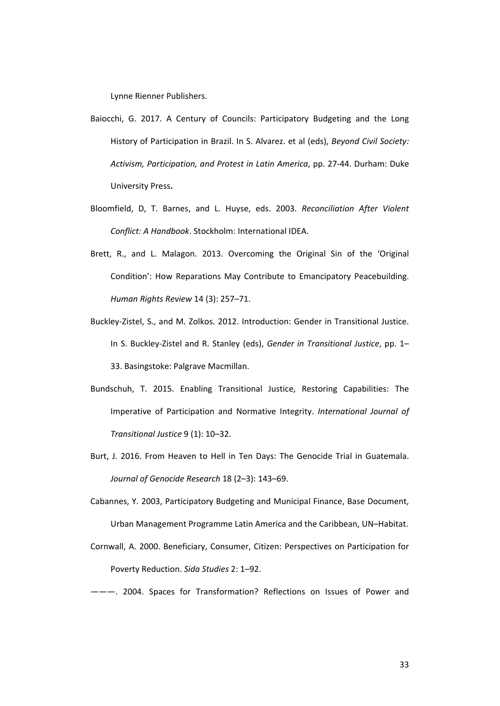Lynne Rienner Publishers.

- Baiocchi, G. 2017. A Century of Councils: Participatory Budgeting and the Long History of Participation in Brazil. In S. Alvarez. et al (eds), *Beyond Civil Society: Activism, Participation, and Protest in Latin America*, pp. 27‐44. Durham: Duke University Press**.**
- Bloomfield, D, T. Barnes, and L. Huyse, eds. 2003. *Reconciliation After Violent Conflict: A Handbook*. Stockholm: International IDEA.
- Brett, R., and L. Malagon. 2013. Overcoming the Original Sin of the 'Original Condition': How Reparations May Contribute to Emancipatory Peacebuilding. *Human Rights Review* 14 (3): 257–71.
- Buckley‐Zistel, S., and M. Zolkos. 2012. Introduction: Gender in Transitional Justice. In S. Buckley‐Zistel and R. Stanley (eds), *Gender in Transitional Justice*, pp. 1– 33. Basingstoke: Palgrave Macmillan.
- Bundschuh, T. 2015. Enabling Transitional Justice, Restoring Capabilities: The Imperative of Participation and Normative Integrity. *International Journal of Transitional Justice* 9 (1): 10–32.
- Burt, J. 2016. From Heaven to Hell in Ten Days: The Genocide Trial in Guatemala. *Journal of Genocide Research* 18 (2–3): 143–69.
- Cabannes, Y. 2003, Participatory Budgeting and Municipal Finance, Base Document, Urban Management Programme Latin America and the Caribbean, UN–Habitat.
- Cornwall, A. 2000. Beneficiary, Consumer, Citizen: Perspectives on Participation for Poverty Reduction. *Sida Studies* 2: 1–92.
- ———. 2004. Spaces for Transformation? Reflections on Issues of Power and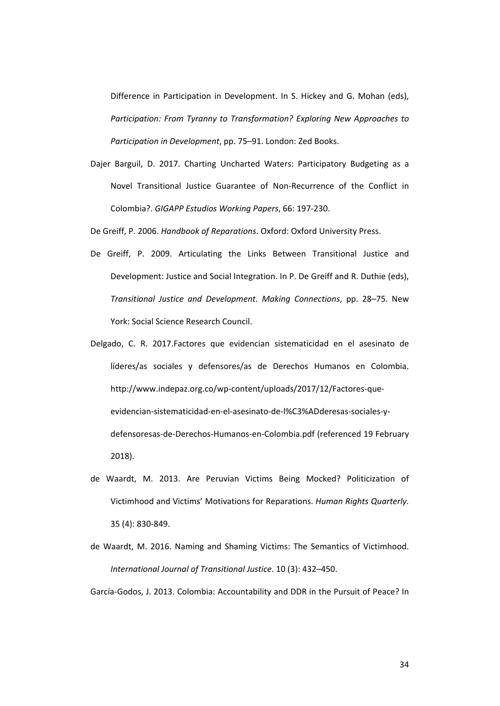Difference in Participation in Development. In S. Hickey and G. Mohan (eds), *Participation: From Tyranny to Transformation? Exploring New Approaches to Participation in Development*, pp. 75–91. London: Zed Books.

- Dajer Barguil, D. 2017. Charting Uncharted Waters: Participatory Budgeting as a Novel Transitional Justice Guarantee of Non‐Recurrence of the Conflict in Colombia?. *GIGAPP Estudios Working Papers*, 66: 197‐230.
- De Greiff, P. 2006. *Handbook of Reparations*. Oxford: Oxford University Press.
- De Greiff, P. 2009. Articulating the Links Between Transitional Justice and Development: Justice and Social Integration. In P. De Greiff and R. Duthie (eds), *Transitional Justice and Development. Making Connections*, pp. 28–75. New York: Social Science Research Council.
- Delgado, C. R. 2017.Factores que evidencian sistematicidad en el asesinato de líderes/as sociales y defensores/as de Derechos Humanos en Colombia. http://www.indepaz.org.co/wp‐content/uploads/2017/12/Factores‐que‐ evidencian‐sistematicidad‐en‐el‐asesinato‐de‐l%C3%ADderesas‐sociales‐y‐ defensoresas‐de‐Derechos‐Humanos‐en‐Colombia.pdf (referenced 19 February 2018).
- de Waardt, M. 2013. Are Peruvian Victims Being Mocked? Politicization of Victimhood and Victims' Motivations for Reparations. *Human Rights Quarterly.* 35 (4): 830‐849.
- de Waardt, M. 2016. Naming and Shaming Victims: The Semantics of Victimhood. *International Journal of Transitional Justice*. 10 (3): 432–450.

García‐Godos, J. 2013. Colombia: Accountability and DDR in the Pursuit of Peace? In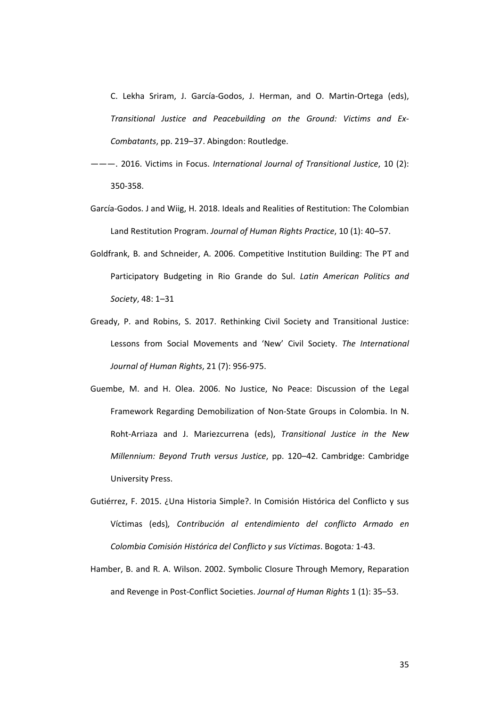C. Lekha Sriram, J. García‐Godos, J. Herman, and O. Martin‐Ortega (eds), *Transitional Justice and Peacebuilding on the Ground: Victims and Ex‐ Combatants*, pp. 219–37. Abingdon: Routledge.

- ———. 2016. Victims in Focus. *International Journal of Transitional Justice*, 10 (2): 350‐358.
- García‐Godos. J and Wiig, H. 2018. Ideals and Realities of Restitution: The Colombian Land Restitution Program. *Journal of Human Rights Practice*, 10 (1): 40–57.
- Goldfrank, B. and Schneider, A. 2006. Competitive Institution Building: The PT and Participatory Budgeting in Rio Grande do Sul. *Latin American Politics and Society*, 48: 1–31
- Gready, P. and Robins, S. 2017. Rethinking Civil Society and Transitional Justice: Lessons from Social Movements and 'New' Civil Society. *The International Journal of Human Rights*, 21 (7): 956‐975.
- Guembe, M. and H. Olea. 2006. No Justice, No Peace: Discussion of the Legal Framework Regarding Demobilization of Non‐State Groups in Colombia. In N. Roht‐Arriaza and J. Mariezcurrena (eds), *Transitional Justice in the New Millennium: Beyond Truth versus Justice*, pp. 120–42. Cambridge: Cambridge University Press.
- Gutiérrez, F. 2015. ¿Una Historia Simple?. In Comisión Histórica del Conflicto y sus Víctimas (eds)*, Contribución al entendimiento del conflicto Armado en Colombia Comisión Histórica del Conflicto y sus Víctimas*. Bogota*:* 1‐43.
- Hamber, B. and R. A. Wilson. 2002. Symbolic Closure Through Memory, Reparation and Revenge in Post‐Conflict Societies. *Journal of Human Rights* 1 (1): 35–53.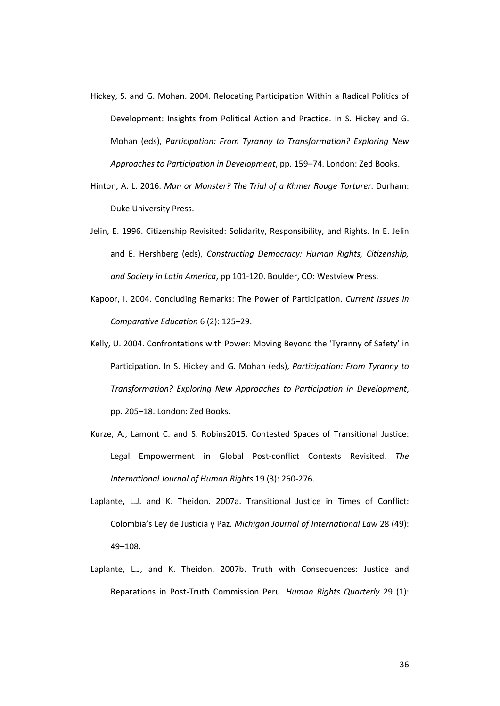- Hickey, S. and G. Mohan. 2004. Relocating Participation Within a Radical Politics of Development: Insights from Political Action and Practice. In S. Hickey and G. Mohan (eds), *Participation: From Tyranny to Transformation? Exploring New Approaches to Participation in Development*, pp. 159–74. London: Zed Books.
- Hinton, A. L. 2016. *Man or Monster? The Trial of a Khmer Rouge Torturer*. Durham: Duke University Press.
- Jelin, E. 1996. Citizenship Revisited: Solidarity, Responsibility, and Rights. In E. Jelin and E. Hershberg (eds), *Constructing Democracy: Human Rights, Citizenship, and Society in Latin America*, pp 101‐120. Boulder, CO: Westview Press.
- Kapoor, I. 2004. Concluding Remarks: The Power of Participation. *Current Issues in Comparative Education* 6 (2): 125–29.
- Kelly, U. 2004. Confrontations with Power: Moving Beyond the 'Tyranny of Safety' in Participation. In S. Hickey and G. Mohan (eds), *Participation: From Tyranny to Transformation? Exploring New Approaches to Participation in Development*, pp. 205–18. London: Zed Books.
- Kurze, A., Lamont C. and S. Robins2015. Contested Spaces of Transitional Justice: Legal Empowerment in Global Post‐conflict Contexts Revisited. *The International Journal of Human Rights* 19 (3): 260‐276.
- Laplante, L.J. and K. Theidon. 2007a. Transitional Justice in Times of Conflict: Colombia's Ley de Justicia y Paz. *Michigan Journal of International Law* 28 (49): 49–108.
- Laplante, L.J, and K. Theidon. 2007b. Truth with Consequences: Justice and Reparations in Post‐Truth Commission Peru. *Human Rights Quarterly* 29 (1):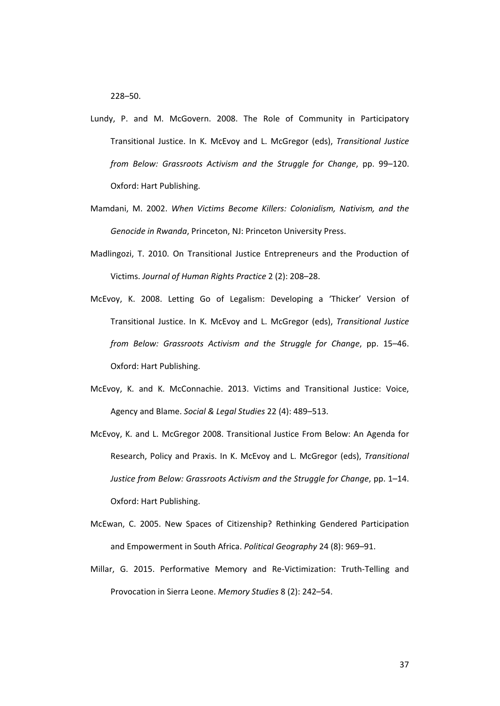228–50.

- Lundy, P. and M. McGovern. 2008. The Role of Community in Participatory Transitional Justice. In K. McEvoy and L. McGregor (eds), *Transitional Justice from Below: Grassroots Activism and the Struggle for Change*, pp. 99–120. Oxford: Hart Publishing.
- Mamdani, M. 2002. *When Victims Become Killers: Colonialism, Nativism, and the Genocide in Rwanda*, Princeton, NJ: Princeton University Press.
- Madlingozi, T. 2010. On Transitional Justice Entrepreneurs and the Production of Victims. *Journal of Human Rights Practice* 2 (2): 208–28.
- McEvoy, K. 2008. Letting Go of Legalism: Developing a 'Thicker' Version of Transitional Justice. In K. McEvoy and L. McGregor (eds), *Transitional Justice from Below: Grassroots Activism and the Struggle for Change*, pp. 15–46. Oxford: Hart Publishing.
- McEvoy, K. and K. McConnachie. 2013. Victims and Transitional Justice: Voice, Agency and Blame. *Social & Legal Studies* 22 (4): 489–513.
- McEvoy, K. and L. McGregor 2008. Transitional Justice From Below: An Agenda for Research, Policy and Praxis. In K. McEvoy and L. McGregor (eds), *Transitional Justice from Below: Grassroots Activism and the Struggle for Change*, pp. 1–14. Oxford: Hart Publishing.
- McEwan, C. 2005. New Spaces of Citizenship? Rethinking Gendered Participation and Empowerment in South Africa. *Political Geography* 24 (8): 969–91.
- Millar, G. 2015. Performative Memory and Re‐Victimization: Truth‐Telling and Provocation in Sierra Leone. *Memory Studies* 8 (2): 242–54.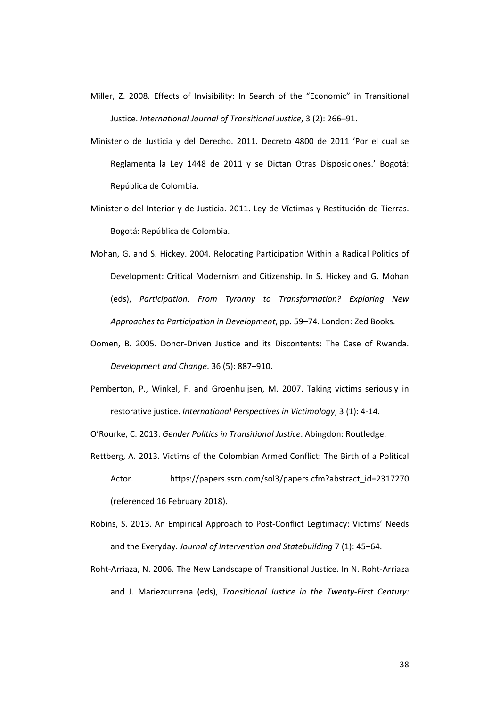- Miller, Z. 2008. Effects of Invisibility: In Search of the "Economic" in Transitional Justice. *International Journal of Transitional Justice*, 3 (2): 266–91.
- Ministerio de Justicia y del Derecho. 2011. Decreto 4800 de 2011 'Por el cual se Reglamenta la Ley 1448 de 2011 y se Dictan Otras Disposiciones.' Bogotá: República de Colombia.
- Ministerio del Interior y de Justicia. 2011. Ley de Víctimas y Restitución de Tierras. Bogotá: República de Colombia.
- Mohan, G. and S. Hickey. 2004. Relocating Participation Within a Radical Politics of Development: Critical Modernism and Citizenship. In S. Hickey and G. Mohan (eds), *Participation: From Tyranny to Transformation? Exploring New Approaches to Participation in Development*, pp. 59–74. London: Zed Books.
- Oomen, B. 2005. Donor‐Driven Justice and its Discontents: The Case of Rwanda. *Development and Change*. 36 (5): 887–910.
- Pemberton, P., Winkel, F. and Groenhuijsen, M. 2007. Taking victims seriously in restorative justice. *International Perspectives in Victimology*, 3 (1): 4‐14.

O'Rourke, C. 2013. *Gender Politics in Transitional Justice*. Abingdon: Routledge.

- Rettberg, A. 2013. Victims of the Colombian Armed Conflict: The Birth of a Political Actor. https://papers.ssrn.com/sol3/papers.cfm?abstract\_id=2317270 (referenced 16 February 2018).
- Robins, S. 2013. An Empirical Approach to Post‐Conflict Legitimacy: Victims' Needs and the Everyday. *Journal of Intervention and Statebuilding* 7 (1): 45–64.
- Roht‐Arriaza, N. 2006. The New Landscape of Transitional Justice. In N. Roht‐Arriaza and J. Mariezcurrena (eds), *Transitional Justice in the Twenty‐First Century:*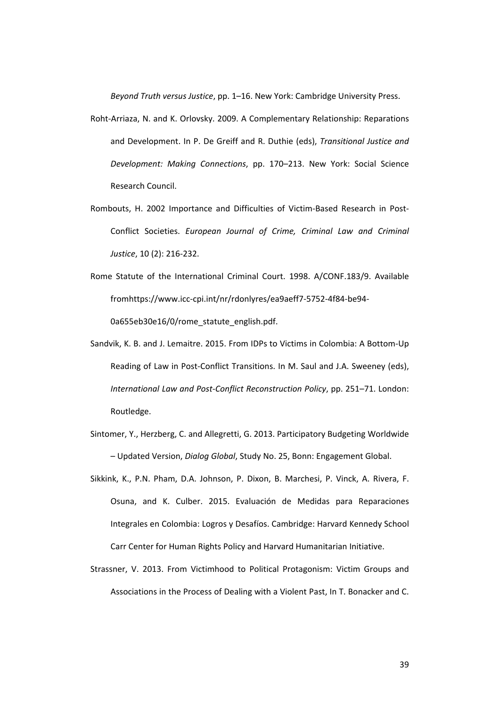*Beyond Truth versus Justice*, pp. 1–16. New York: Cambridge University Press.

- Roht‐Arriaza, N. and K. Orlovsky. 2009. A Complementary Relationship: Reparations and Development. In P. De Greiff and R. Duthie (eds), *Transitional Justice and Development: Making Connections*, pp. 170–213. New York: Social Science Research Council.
- Rombouts, H. 2002 Importance and Difficulties of Victim‐Based Research in Post‐ Conflict Societies. *European Journal of Crime, Criminal Law and Criminal Justice*, 10 (2): 216‐232.
- Rome Statute of the International Criminal Court. 1998. A/CONF.183/9. Available fromhttps://www.icc‐cpi.int/nr/rdonlyres/ea9aeff7‐5752‐4f84‐be94‐ 0a655eb30e16/0/rome\_statute\_english.pdf.
- Sandvik, K. B. and J. Lemaitre. 2015. From IDPs to Victims in Colombia: A Bottom‐Up Reading of Law in Post-Conflict Transitions. In M. Saul and J.A. Sweeney (eds), *International Law and Post‐Conflict Reconstruction Policy*, pp. 251–71. London: Routledge.
- Sintomer, Y., Herzberg, C. and Allegretti, G. 2013. Participatory Budgeting Worldwide – Updated Version, *Dialog Global*, Study No. 25, Bonn: Engagement Global.
- Sikkink, K., P.N. Pham, D.A. Johnson, P. Dixon, B. Marchesi, P. Vinck, A. Rivera, F. Osuna, and K. Culber. 2015. Evaluación de Medidas para Reparaciones Integrales en Colombia: Logros y Desafíos. Cambridge: Harvard Kennedy School Carr Center for Human Rights Policy and Harvard Humanitarian Initiative.
- Strassner, V. 2013. From Victimhood to Political Protagonism: Victim Groups and Associations in the Process of Dealing with a Violent Past, In T. Bonacker and C.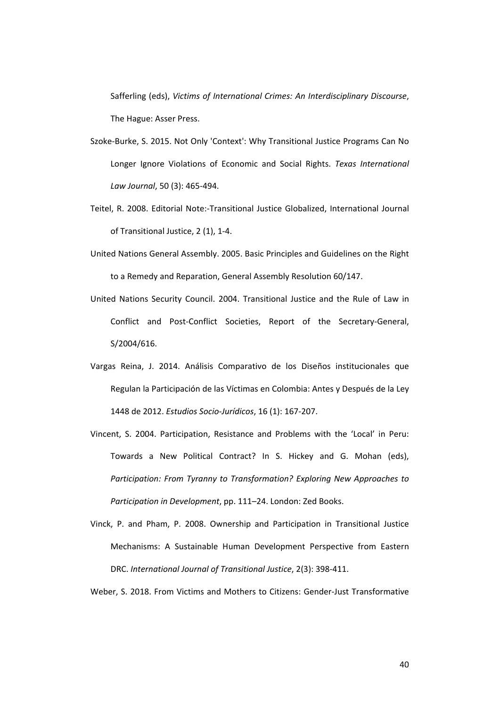Safferling (eds), *Victims of International Crimes: An Interdisciplinary Discourse*, The Hague: Asser Press.

- Szoke‐Burke, S. 2015. Not Only 'Context': Why Transitional Justice Programs Can No Longer Ignore Violations of Economic and Social Rights. *Texas International Law Journal*, 50 (3): 465‐494.
- Teitel, R. 2008. Editorial Note:‐Transitional Justice Globalized, International Journal of Transitional Justice, 2 (1), 1‐4.
- United Nations General Assembly. 2005. Basic Principles and Guidelines on the Right to a Remedy and Reparation, General Assembly Resolution 60/147.
- United Nations Security Council. 2004. Transitional Justice and the Rule of Law in Conflict and Post‐Conflict Societies, Report of the Secretary‐General, S/2004/616.
- Vargas Reina, J. 2014. Análisis Comparativo de los Diseños institucionales que Regulan la Participación de las Víctimas en Colombia: Antes y Después de la Ley 1448 de 2012. *Estudios Socio‐Jurídicos*, 16 (1): 167‐207.
- Vincent, S. 2004. Participation, Resistance and Problems with the 'Local' in Peru: Towards a New Political Contract? In S. Hickey and G. Mohan (eds), *Participation: From Tyranny to Transformation? Exploring New Approaches to Participation in Development*, pp. 111–24. London: Zed Books.
- Vinck, P. and Pham, P. 2008. Ownership and Participation in Transitional Justice Mechanisms: A Sustainable Human Development Perspective from Eastern DRC. *International Journal of Transitional Justice*, 2(3): 398‐411.

Weber, S. 2018. From Victims and Mothers to Citizens: Gender‐Just Transformative